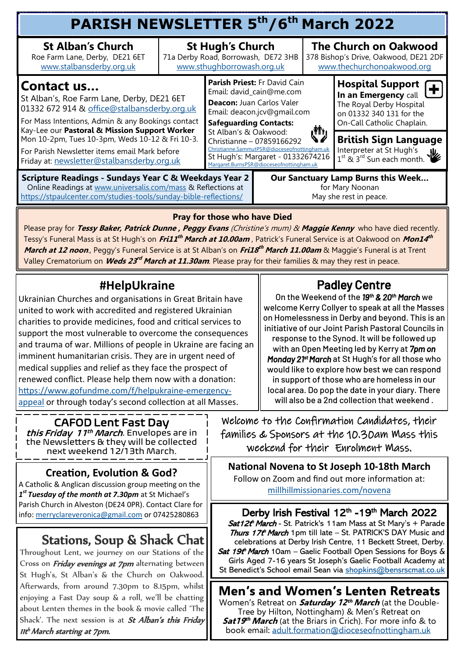| <b>PARISH NEWSLETTER 5th/6th March 2022</b>                                                                                                                                                                                                                                                                                                                             |                                                                                              |                                                                                                                                                                                                                                                                                                                                                     |  |                                                                                                     |                                                                                                                                       |  |  |  |  |
|-------------------------------------------------------------------------------------------------------------------------------------------------------------------------------------------------------------------------------------------------------------------------------------------------------------------------------------------------------------------------|----------------------------------------------------------------------------------------------|-----------------------------------------------------------------------------------------------------------------------------------------------------------------------------------------------------------------------------------------------------------------------------------------------------------------------------------------------------|--|-----------------------------------------------------------------------------------------------------|---------------------------------------------------------------------------------------------------------------------------------------|--|--|--|--|
| <b>St Alban's Church</b><br>Roe Farm Lane, Derby, DE21 6ET<br>www.stalbansderby.org.uk                                                                                                                                                                                                                                                                                  | <b>St Hugh's Church</b><br>71a Derby Road, Borrowash, DE72 3HB<br>www.sthughborrowash.org.uk |                                                                                                                                                                                                                                                                                                                                                     |  | <b>The Church on Oakwood</b><br>378 Bishop's Drive, Oakwood, DE21 2DF<br>www.thechurchonoakwood.org |                                                                                                                                       |  |  |  |  |
| <b>IContact us</b><br>St Alban's, Roe Farm Lane, Derby, DE21 6ET<br>01332 672 914 & office@stalbansderby.org.uk<br>For Mass Intentions, Admin & any Bookings contact<br>Kay-Lee our Pastoral & Mission Support Worker<br>Mon 10-2pm, Tues 10-3pm, Weds 10-12 & Fri 10-3.<br>For Parish Newsletter items email Mark before<br>Friday at: newsletter@stalbansderby.org.uk |                                                                                              | <b>Parish Priest: Fr David Cain</b><br>Email: david_cain@me.com<br>Deacon: Juan Carlos Valer<br>Email: deacon.jcv@gmail.com<br><b>Safeguarding Contacts:</b><br>St Alban's & Oakwood:<br>Christianne - 07859166292<br>Christianne.SammutPSR@dioceseofnottingham.uk<br>St Hugh's: Margaret - 01332674216<br>Margaret.BurnsPSR@dioceseofnottingham.uk |  |                                                                                                     | <b>Hospital Support</b><br>In an Emergency call<br>The Royal Derby Hospital<br>on 01332 340 131 for the<br>On-Call Catholic Chaplain. |  |  |  |  |
|                                                                                                                                                                                                                                                                                                                                                                         |                                                                                              |                                                                                                                                                                                                                                                                                                                                                     |  | رش                                                                                                  | <b>British Sign Language</b><br>Interpreter at St Hugh's<br>$\frac{1}{1}$ st & 3 <sup>rd</sup> Sun each month.                        |  |  |  |  |
| <b>Scripture Readings - Sundays Year C &amp; Weekdays Year 2</b><br>Online Readings at www.universalis.com/mass & Reflections at<br>https://stpaulcenter.com/studies-tools/sunday-bible-reflections/                                                                                                                                                                    |                                                                                              | Our Sanctuary Lamp Burns this Week<br>for Mary Noonan<br>May she rest in peace.                                                                                                                                                                                                                                                                     |  |                                                                                                     |                                                                                                                                       |  |  |  |  |

#### **Pray for those who have Died**

Please pray for **Tessy Baker, Patrick Dunne , Peggy Evans** (Christine's mum) & **Maggie Kenny** who have died recently. Tessy's Funeral Mass is at St Hugh's on *Fri11<sup>th</sup> March at 10.00am ,* Patrick's Funeral Service is at Oakwood on *Mon14<sup>th</sup>* **March at 12 noon**., Peggy's Funeral Service is at St Alban's on **Fri18 th March 11.00am** & Maggie's Funeral is at Trent Valley Crematorium on *Weds 23<sup>rd</sup> March at 11.30am*. Please pray for their families & may they rest in peace.

### **#HelpUkraine**

Ukrainian Churches and organisations in Great Britain have united to work with accredited and registered Ukrainian charities to provide medicines, food and critical services to support the most vulnerable to overcome the consequences and trauma of war. Millions of people in Ukraine are facing an imminent humanitarian crisis. They are in urgent need of medical supplies and relief as they face the prospect of renewed conflict. Please help them now with a donation: [https://www.gofundme.com/f/helpukraine](mailto:https://www.gofundme.com/f/helpukraine-emergency-appeal)-emergency[appeal](mailto:https://www.gofundme.com/f/helpukraine-emergency-appeal) or through today's second collection at all Masses.

### Padley Centre

On the Weekend of the *19th & 20th March* we welcome Kerry Collyer to speak at all the Masses on Homelessness in Derby and beyond. This is an initiative of our Joint Parish Pastoral Councils in response to the Synod. It will be followed up with an Open Meeting led by Kerry at *7pm on Monday 21st March* at St Hugh's for all those who would like to explore how best we can respond in support of those who are homeless in our local area. Do pop the date in your diary. There will also be a 2nd collection that weekend .

#### CAFOD Lent Fast Day

*this Friday 11<sup>th</sup> March*. Envelopes are in the Newsletters & they will be collected next weekend 12/13th March.

#### **Creation, Evolution & God?**

A Catholic & Anglican discussion group meeting on the *1 st Tuesday of the month at 7.30pm* at St Michael's Parish Church in Alveston (DE24 0PR). Contact Clare for info: [merryclareveronica@gmail.com](mailto:merryclareveronica@gmail.com) or 07425280863

### Stations, Soup & Shack Chat

Throughout Lent, we journey on our Stations of the Cross on *Friday evenings at 7pm* alternating between St Hugh's, St Alban's & the Church on Oakwood. Afterwards, from around 7.30pm to 8.15pm, whilst enjoying a Fast Day soup & a roll, we'll be chatting about Lenten themes in the book & movie called 'The Shack'. The next session is at St Alban's this Friday 11t <sup>h</sup>March starting at 7pm.

Welcome to the Confirmation Candidates, their families & Sponsors at the 10.30am Mass this weekend for their Enrolment Mass.

**National Novena to St Joseph 10-18th March** Follow on Zoom and find out more information at: [millhillmissionaries.com/novena](mailto:millhillmissionaries.com/novena)

Derby Irish Festival 12<sup>th</sup> -19<sup>th</sup> March 2022 Sat12t<sup>h</sup> March - St. Patrick's 11am Mass at St Mary's + Parade Thurs 17t<sup>h</sup> March 1pm till late - St. PATRICK'S DAY Music and celebrations at Derby Irish Centre, 11 Beckett Street, Derby. Sat 19th March 10am – Gaelic Football Open Sessions for Boys & Girls Aged 7-16 years St Joseph's Gaelic Football Academy at St Benedict's School email Sean via [shopkins@bensrscmat.co.uk](mailto:shopkins@bensrscmat.co.uk)

### **Men's and Women's Lenten Retreats**

Women's Retreat on **Saturday 12 th March** (at the Double-Tree by Hilton, Nottingham) & Men's Retreat on **Sat19 th March** (at the Briars in Crich). For more info & to book email: [adult.formation@dioceseofnottingham.uk](mailto:adult.formation@dioceseofnottingham.uk)